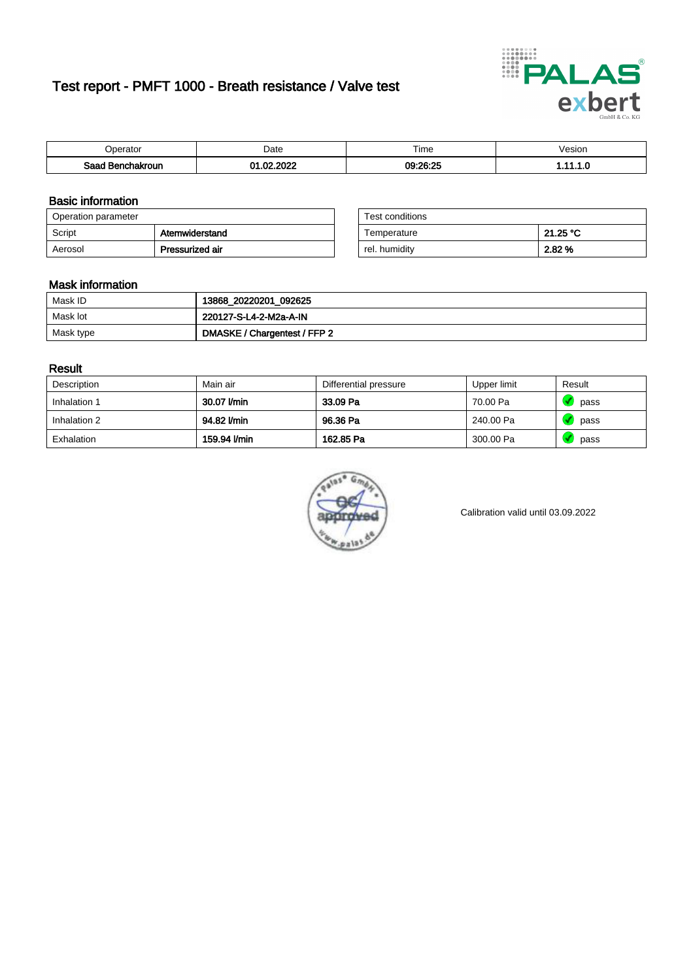# Test report - PMFT 1000 - Breath resistance / Valve test



| )perator               | Date                                 | $- \cdot$<br>i ime  | esion |
|------------------------|--------------------------------------|---------------------|-------|
| המס<br>hakroun<br>32 H | 000 <sup>o</sup><br>ົ<br>$\sim$<br>w | 09:26:25<br>- 40.40 | .     |

### Basic information

| Operation parameter |                 | Test conditions |          |
|---------------------|-----------------|-----------------|----------|
| Script              | Atemwiderstand  | Temperature     | 21.25 °C |
| Aerosol             | Pressurized air | rel. humidity   | 2.82 %   |

| Test conditions |          |
|-----------------|----------|
| Temperature     | 21.25 °C |
| rel. humidity   | 2.82%    |

### Mask information

| Mask ID   | 13868_20220201_092625        |
|-----------|------------------------------|
| Mask lot  | 220127-S-L4-2-M2a-A-IN       |
| Mask type | DMASKE / Chargentest / FFP 2 |

### Result

| Description  | Main air     | Differential pressure | Upper limit | Result |
|--------------|--------------|-----------------------|-------------|--------|
| Inhalation 1 | 30.07 l/min  | 33.09 Pa              | 70.00 Pa    | pass   |
| Inhalation 2 | 94.82 l/min  | 96.36 Pa              | 240.00 Pa   | pass   |
| Exhalation   | 159.94 l/min | 162.85 Pa             | 300.00 Pa   | pass   |



Calibration valid until 03.09.2022